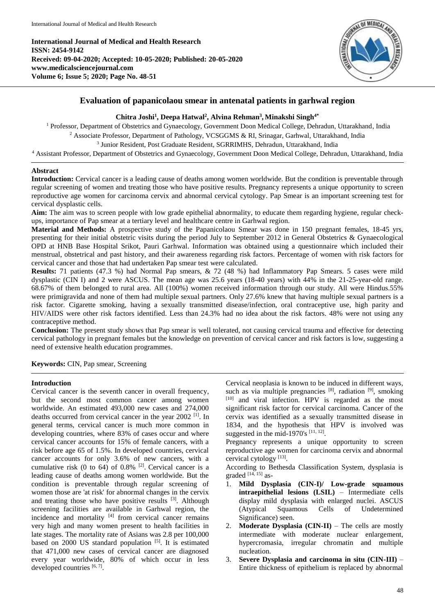**International Journal of Medical and Health Research ISSN: 2454-9142 Received: 09-04-2020; Accepted: 10-05-2020; Published: 20-05-2020 www.medicalsciencejournal.com Volume 6; Issue 5; 2020; Page No. 48-51**



# **Evaluation of papanicolaou smear in antenatal patients in garhwal region**

# **Chitra Joshi<sup>1</sup> , Deepa Hatwal<sup>2</sup> , Alvina Rehman<sup>3</sup> , Minakshi Singh4\***

<sup>1</sup> Professor, Department of Obstetrics and Gynaecology, Government Doon Medical College, Dehradun, Uttarakhand, India <sup>2</sup> Associate Professor, Department of Pathology, VCSGGMS & RI, Srinagar, Garhwal, Uttarakhand, India 3 Junior Resident, Post Graduate Resident, SGRRIMHS, Dehradun, Uttarakhand, India <sup>4</sup> Assistant Professor, Department of Obstetrics and Gynaecology, Government Doon Medical College, Dehradun, Uttarakhand, India

## **Abstract**

**Introduction:** Cervical cancer is a leading cause of deaths among women worldwide. But the condition is preventable through regular screening of women and treating those who have positive results. Pregnancy represents a unique opportunity to screen reproductive age women for carcinoma cervix and abnormal cervical cytology. Pap Smear is an important screening test for cervical dysplastic cells.

**Aim:** The aim was to screen people with low grade epithelial abnormality, to educate them regarding hygiene, regular checkups, importance of Pap smear at a tertiary level and healthcare centre in Garhwal region.

**Material and Methods:** A prospective study of the Papanicolaou Smear was done in 150 pregnant females, 18-45 yrs, presenting for their initial obstetric visits during the period July to September 2012 in General Obstetrics & Gynaecological OPD at HNB Base Hospital Srikot, Pauri Garhwal. Information was obtained using a questionnaire which included their menstrual, obstetrical and past history, and their awareness regarding risk factors. Percentage of women with risk factors for cervical cancer and those that had undertaken Pap smear test were calculated.

**Results:** 71 patients (47.3 %) had Normal Pap smears, & 72 (48 %) had Inflammatory Pap Smears. 5 cases were mild dysplastic (CIN I) and 2 were ASCUS. The mean age was 25.6 years (18-40 years) with 44% in the 21-25-year-old range. 68.67% of them belonged to rural area. All (100%) women received information through our study. All were Hindus.55% were primigravida and none of them had multiple sexual partners. Only 27.6% knew that having multiple sexual partners is a risk factor. Cigarette smoking, having a sexually transmitted disease/infection, oral contraceptive use, high parity and HIV/AIDS were other risk factors identified. Less than 24.3% had no idea about the risk factors. 48% were not using any contraceptive method.

**Conclusion:** The present study shows that Pap smear is well tolerated, not causing cervical trauma and effective for detecting cervical pathology in pregnant females but the knowledge on prevention of cervical cancer and risk factors is low, suggesting a need of extensive health education programmes.

**Keywords:** CIN, Pap smear, Screening

## **Introduction**

Cervical cancer is the seventh cancer in overall frequency, but the second most common cancer among women worldwide. An estimated 493,000 new cases and 274,000 deaths occurred from cervical cancer in the year 2002 [1] . In general terms, cervical cancer is much more common in developing countries, where 83% of cases occur and where cervical cancer accounts for 15% of female cancers, with a risk before age 65 of 1.5%. In developed countries, cervical cancer accounts for only 3.6% of new cancers, with a cumulative risk (0 to 64) of  $0.8\%$  <sup>[2]</sup>. Cervical cancer is a leading cause of deaths among women worldwide. But the condition is preventable through regular screening of women those are 'at risk' for abnormal changes in the cervix and treating those who have positive results  $[3]$ . Although screening facilities are available in Garhwal region, the incidence and mortality  $[4]$  from cervical cancer remains very high and many women present to health facilities in late stages. The mortality rate of Asians was 2.8 per 100,000 based on 2000 US standard population [5]. It is estimated that 471,000 new cases of cervical cancer are diagnosed every year worldwide, 80% of which occur in less developed countries  $[6, 7]$ .

Cervical neoplasia is known to be induced in different ways, such as via multiple pregnancies  $[8]$ , radiation  $[9]$ , smoking [10] and viral infection. HPV is regarded as the most significant risk factor for cervical carcinoma. Cancer of the cervix was identified as a sexually transmitted disease in 1834, and the hypothesis that HPV is involved was suggested in the mid-1970's  $[11, 12]$ .

Pregnancy represents a unique opportunity to screen reproductive age women for carcinoma cervix and abnormal cervical cytology<sup>[13]</sup>.

According to Bethesda Classification System, dysplasia is graded [14, 15] as-

- 1. **Mild Dysplasia (CIN-I)/ Low-grade squamous intraepithelial lesions (LSIL)** – Intermediate cells display mild dysplasia with enlarged nuclei. ASCUS (Atypical Squamous Cells of Undetermined Significance) seen.
- 2. **Moderate Dysplasia (CIN-II)** The cells are mostly intermediate with moderate nuclear enlargement, hypercromasia, irregular chromatin and multiple nucleation.
- 3. **Severe Dysplasia and carcinoma in situ (CIN-III)** Entire thickness of epithelium is replaced by abnormal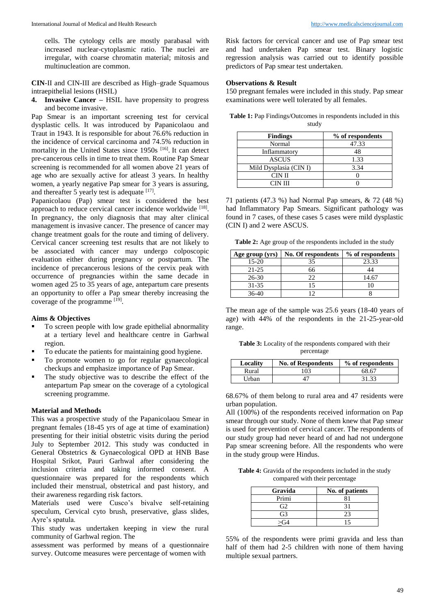cells. The cytology cells are mostly parabasal with increased nuclear-cytoplasmic ratio. The nuclei are irregular, with coarse chromatin material; mitosis and multinucleation are common.

**CIN**-II and CIN-III are described as High–grade Squamous intraepithelial lesions (HSIL)

**4. Invasive Cancer –** HSIL have propensity to progress and become invasive.

Pap Smear is an important screening test for cervical dysplastic cells. It was introduced by Papanicolaou and Traut in 1943. It is responsible for about 76.6% reduction in the incidence of cervical carcinoma and 74.5% reduction in mortality in the United States since 1950s <sup>[16]</sup>. It can detect pre-cancerous cells in time to treat them. Routine Pap Smear screening is recommended for all women above 21 years of age who are sexually active for atleast 3 years. In healthy women, a yearly negative Pap smear for 3 years is assuring, and thereafter 5 yearly test is adequate  $[17]$ .

Papanicolaou (Pap) smear test is considered the best approach to reduce cervical cancer incidence worldwide [18]. In pregnancy, the only diagnosis that may alter clinical management is invasive cancer. The presence of cancer may change treatment goals for the route and timing of delivery. Cervical cancer screening test results that are not likely to be associated with cancer may undergo colposcopic evaluation either during pregnancy or postpartum. The incidence of precancerous lesions of the cervix peak with occurrence of pregnancies within the same decade in women aged 25 to 35 years of age, antepartum care presents an opportunity to offer a Pap smear thereby increasing the coverage of the programme [19].

### **Aims & Objectives**

- To screen people with low grade epithelial abnormality at a tertiary level and healthcare centre in Garhwal region.
- To educate the patients for maintaining good hygiene.
- To promote women to go for regular gynaecological checkups and emphasize importance of Pap Smear.
- The study objective was to describe the effect of the antepartum Pap smear on the coverage of a cytological screening programme.

#### **Material and Methods**

This was a prospective study of the Papanicolaou Smear in pregnant females (18-45 yrs of age at time of examination) presenting for their initial obstetric visits during the period July to September 2012. This study was conducted in General Obstetrics & Gynaecological OPD at HNB Base Hospital Srikot, Pauri Garhwal after considering the inclusion criteria and taking informed consent. A questionnaire was prepared for the respondents which included their menstrual, obstetrical and past history, and their awareness regarding risk factors.

Materials used were Cusco's bivalve self-retaining speculum, Cervical cyto brush, preservative, glass slides, Ayre's spatula.

This study was undertaken keeping in view the rural community of Garhwal region. The

assessment was performed by means of a questionnaire survey. Outcome measures were percentage of women with

Risk factors for cervical cancer and use of Pap smear test and had undertaken Pap smear test. Binary logistic regression analysis was carried out to identify possible predictors of Pap smear test undertaken.

### **Observations & Result**

150 pregnant females were included in this study. Pap smear examinations were well tolerated by all females.

| <b>Findings</b>        | % of respondents |
|------------------------|------------------|
| Normal                 | 47.33            |
| Inflammatory           | 48               |
| <b>ASCUS</b>           | 1.33             |
| Mild Dysplasia (CIN I) | 3.34             |
| CIN II                 |                  |
| CIN III                |                  |

**Table 1:** Pap Findings/Outcomes in respondents included in this study

71 patients (47.3 %) had Normal Pap smears, & 72 (48 %) had Inflammatory Pap Smears. Significant pathology was found in 7 cases, of these cases 5 cases were mild dysplastic (CIN I) and 2 were ASCUS.

**Table 2:** Age group of the respondents included in the study

| Age group (yrs) | No. Of respondents | % of respondents |
|-----------------|--------------------|------------------|
| $15-20$         | 35                 | 23.33            |
| $21 - 25$       | 66                 |                  |
| $26 - 30$       | つつ                 | 14.67            |
| 31-35           |                    |                  |
| $36-40$         |                    |                  |

The mean age of the sample was 25.6 years (18-40 years of age) with 44% of the respondents in the 21-25-year-old range.

**Table 3:** Locality of the respondents compared with their percentage

| Locality | <b>No. of Respondents</b> | % of respondents |
|----------|---------------------------|------------------|
| Rural    | 103                       | 68.67            |
| Urban    |                           | 31 33            |

68.67% of them belong to rural area and 47 residents were urban population.

All (100%) of the respondents received information on Pap smear through our study. None of them knew that Pap smear is used for prevention of cervical cancer. The respondents of our study group had never heard of and had not undergone Pap smear screening before. All the respondents who were in the study group were Hindus.

**Table 4:** Gravida of the respondents included in the study compared with their percentage

| Gravida | No. of patients |
|---------|-----------------|
| Primi   |                 |
| G2      |                 |
| G3      | 23              |
|         | ۱۹              |

55% of the respondents were primi gravida and less than half of them had 2-5 children with none of them having multiple sexual partners.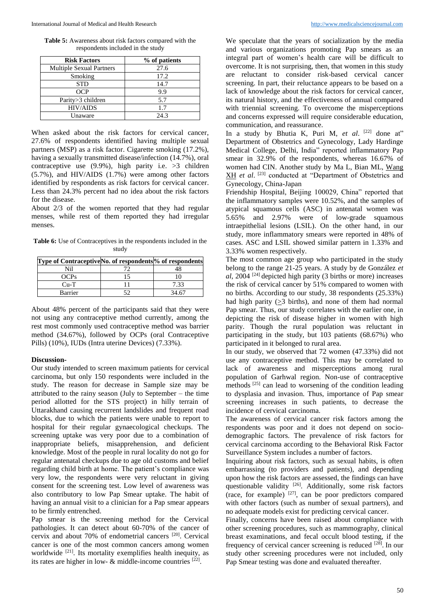**Table 5:** Awareness about risk factors compared with the respondents included in the study

| <b>Risk Factors</b>             | % of patients |
|---------------------------------|---------------|
| <b>Multiple Sexual Partners</b> | 27.6          |
| Smoking                         | 17.2          |
| <b>STD</b>                      | 14.7          |
| <b>OCP</b>                      | 9.9           |
| Parity > 3 children             | 5.7           |
| <b>HIV/AIDS</b>                 | 1.7           |
| Unaware                         | 24.3          |

When asked about the risk factors for cervical cancer, 27.6% of respondents identified having multiple sexual partners (MSP) as a risk factor. Cigarette smoking (17.2%), having a sexually transmitted disease/infection (14.7%), oral contraceptive use  $(9.9\%)$ , high parity i.e.  $>3$  children (5.7%), and HIV/AIDS (1.7%) were among other factors identified by respondents as risk factors for cervical cancer. Less than 24.3% percent had no idea about the risk factors for the disease.

About 2/3 of the women reported that they had regular menses, while rest of them reported they had irregular menses.

**Table 6:** Use of Contraceptives in the respondents included in the study

| Type of ContraceptiveNo. of respondents% of respondents |        |
|---------------------------------------------------------|--------|
| Nil                                                     |        |
| OCPs                                                    |        |
| $Cu-T$                                                  | 7.33   |
| Barrier                                                 | 34. 67 |

About 48% percent of the participants said that they were not using any contraceptive method currently, among the rest most commonly used contraceptive method was barrier method (34.67%), followed by OCPs (oral Contraceptive Pills) (10%), IUDs (Intra uterine Devices) (7.33%).

#### **Discussion-**

Our study intended to screen maximum patients for cervical carcinoma, but only 150 respondents were included in the study. The reason for decrease in Sample size may be attributed to the rainy season (July to September – the time period allotted for the STS project) in hilly terrain of Uttarakhand causing recurrent landslides and frequent road blocks, due to which the patients were unable to report to hospital for their regular gynaecological checkups. The screening uptake was very poor due to a combination of inappropriate beliefs, misapprehension, and deficient knowledge. Most of the people in rural locality do not go for regular antenatal checkups due to age old customs and belief regarding child birth at home. The patient's compliance was very low, the respondents were very reluctant in giving consent for the screening test. Low level of awareness was also contributory to low Pap Smear uptake. The habit of having an annual visit to a clinician for a Pap smear appears to be firmly entrenched.

Pap smear is the screening method for the Cervical pathologies. It can detect about 60-70% of the cancer of cervix and about 70% of endometrial cancers<sup>[20]</sup>. Cervical cancer is one of the most common cancers among women worldwide <sup>[21]</sup>. Its mortality exemplifies health inequity, as its rates are higher in low- & middle-income countries [22].

We speculate that the years of socialization by the media and various organizations promoting Pap smears as an integral part of women's health care will be difficult to overcome. It is not surprising, then, that women in this study are reluctant to consider risk-based cervical cancer screening. In part, their reluctance appears to be based on a lack of knowledge about the risk factors for cervical cancer, its natural history, and the effectiveness of annual compared with triennial screening. To overcome the misperceptions and concerns expressed will require considerable education, communication, and reassurance.

In a study by Bhutia K, Puri M, et al. <sup>[22]</sup> done at" Department of Obstetrics and Gynecology, Lady Hardinge Medical College, Delhi, India" reported inflammatory Pap smear in 32.9% of the respondents, whereas 16.67% of women had CIN. Another study by Ma L, Bian ML, Wang XH *et al*. [23] conducted at "Department of Obstetrics and Gynecology, China-Japan

Friendship Hospital, Beijing 100029, China" reported that the inflammatory samples were 10.52%, and the samples of atypical squamous cells (ASC) in antenatal women was 5.65% and 2.97% were of low-grade squamous intraepithelial lesions (LSIL). On the other hand, in our study, more inflammatory smears were reported in 48% of cases. ASC and LSIL showed similar pattern in 1.33% and 3.33% women respectively.

The most common age group who participated in the study belong to the range 21-25 years. A study by de González *et al*, 2004 [24] depicted high parity (3 births or more) increases the risk of cervical cancer by 51% compared to women with no births. According to our study, 38 respondents (25.33%) had high parity ( $>3$  births), and none of them had normal Pap smear. Thus, our study correlates with the earlier one, in depicting the risk of disease higher in women with high parity. Though the rural population was reluctant in participating in the study, but 103 patients (68.67%) who participated in it belonged to rural area.

In our study, we observed that 72 women (47.33%) did not use any contraceptive method. This may be correlated to lack of awareness and misperceptions among rural population of Garhwal region. Non-use of contraceptive methods<sup>[25]</sup> can lead to worsening of the condition leading to dysplasia and invasion. Thus, importance of Pap smear screening increases in such patients, to decrease the incidence of cervical carcinoma.

The awareness of cervical cancer risk factors among the respondents was poor and it does not depend on sociodemographic factors. The prevalence of risk factors for cervical carcinoma according to the Behavioral Risk Factor Surveillance System includes a number of factors.

Inquiring about risk factors, such as sexual habits, is often embarrassing (to providers and patients), and depending upon how the risk factors are assessed, the findings can have questionable validity <sup>[26]</sup>. Additionally, some risk factors (race, for example) [27] , can be poor predictors compared with other factors (such as number of sexual partners), and no adequate models exist for predicting cervical cancer.

Finally, concerns have been raised about compliance with other screening procedures, such as mammography, clinical breast examinations, and fecal occult blood testing, if the frequency of cervical cancer screening is reduced <sup>[28]</sup>. In our study other screening procedures were not included, only Pap Smear testing was done and evaluated thereafter.